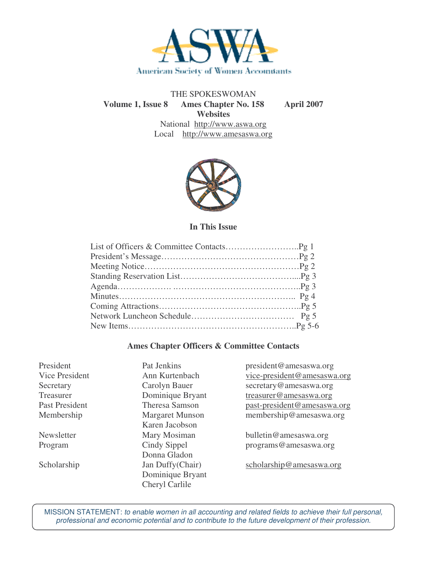

THE SPOKESWOMAN **Volume 1, Issue 8 Ames Chapter No. 158 April 2007 Websites** National http://www.aswa.org Local http://www.amesaswa.org



## **In This Issue**

## **Ames Chapter Officers & Committee Contacts**

| President             | Pat Jenkins            | president@amesaswa.org      |
|-----------------------|------------------------|-----------------------------|
| <b>Vice President</b> | Ann Kurtenbach         | vice-president@amesaswa.org |
| Secretary             | Carolyn Bauer          | secretary@amesaswa.org      |
| Treasurer             | Dominique Bryant       | treasurer@amesaswa.org      |
| <b>Past President</b> | <b>Theresa Samson</b>  | past-president@amesaswa.org |
| Membership            | <b>Margaret Munson</b> | membership@amesaswa.org     |
|                       | Karen Jacobson         |                             |
| Newsletter            | Mary Mosiman           | bulletin@amesaswa.org       |
| Program               | Cindy Sippel           | programs@amesaswa.org       |
|                       | Donna Gladon           |                             |
| Scholarship           | Jan Duffy(Chair)       | scholarship@amesaswa.org    |
|                       | Dominique Bryant       |                             |
|                       | Cheryl Carlile         |                             |

MISSION STATEMENT: *to enable women in all accounting and related fields to achieve their full personal, professional and economic potential and to contribute to the future development of their profession.*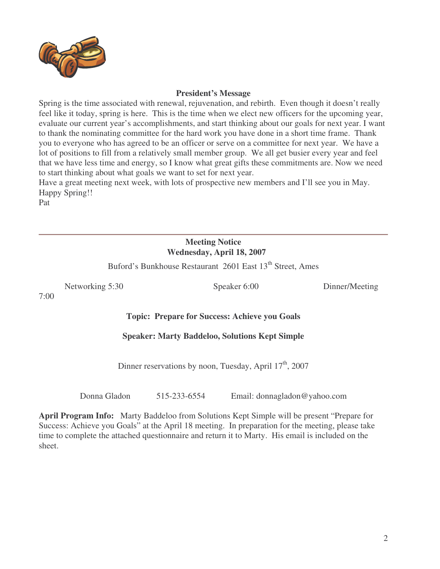

## **President's Message**

Spring is the time associated with renewal, rejuvenation, and rebirth. Even though it doesn't really feel like it today, spring is here. This is the time when we elect new officers for the upcoming year, evaluate our current year's accomplishments, and start thinking about our goals for next year. I want to thank the nominating committee for the hard work you have done in a short time frame. Thank you to everyone who has agreed to be an officer or serve on a committee for next year. We have a lot of positions to fill from a relatively small member group. We all get busier every year and feel that we have less time and energy, so I know what great gifts these commitments are. Now we need to start thinking about what goals we want to set for next year.

Have a great meeting next week, with lots of prospective new members and I'll see you in May. Happy Spring!!

Pat

# **Meeting Notice Wednesday, April 18, 2007**

Buford's Bunkhouse Restaurant 2601 East 13<sup>th</sup> Street, Ames

Networking 5:30 Speaker 6:00 Dinner/Meeting

7:00

# **Topic: Prepare for Success: Achieve you Goals**

**Speaker: Marty Baddeloo, Solutions Kept Simple**

Dinner reservations by noon, Tuesday, April 17<sup>th</sup>, 2007

Donna Gladon 515-233-6554 Email: donnagladon@yahoo.com

**April Program Info:** Marty Baddeloo from Solutions Kept Simple will be present "Prepare for Success: Achieve you Goals" at the April 18 meeting. In preparation for the meeting, please take time to complete the attached questionnaire and return it to Marty. His email is included on the sheet.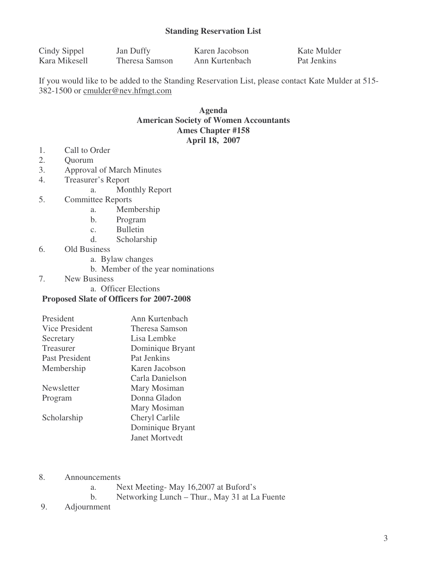## **Standing Reservation List**

| Cindy Sippel  | Jan Duffy      | Karen Jacobson | Kate Mulder |
|---------------|----------------|----------------|-------------|
| Kara Mikesell | Theresa Samson | Ann Kurtenbach | Pat Jenkins |

If you would like to be added to the Standing Reservation List, please contact Kate Mulder at 515- 382-1500 or cmulder@nev.hfmgt.com

## **Agenda American Society of Women Accountants Ames Chapter #158 April 18, 2007**

- 1. Call to Order
- 2. Quorum
- 3. Approval of March Minutes
- 4. Treasurer's Report
	- a. Monthly Report
- 5. Committee Reports
	- a. Membership
	- b. Program
	- c. Bulletin
	- d. Scholarship
- 6. Old Business
	- a. Bylaw changes
	- b. Member of the year nominations
- 7. New Business
	- a. Officer Elections

## **Proposed Slate of Officers for 2007-2008**

| President             | Ann Kurtenbach        |
|-----------------------|-----------------------|
| <b>Vice President</b> | Theresa Samson        |
| Secretary             | Lisa Lembke           |
| Treasurer             | Dominique Bryant      |
| Past President        | Pat Jenkins           |
| Membership            | Karen Jacobson        |
|                       | Carla Danielson       |
| Newsletter            | Mary Mosiman          |
| Program               | Donna Gladon          |
|                       | Mary Mosiman          |
| Scholarship           | Cheryl Carlile        |
|                       | Dominique Bryant      |
|                       | <b>Janet Mortvedt</b> |

8. Announcements

- a. Next Meeting- May 16,2007 at Buford's
- b. Networking Lunch Thur., May 31 at La Fuente
- 9. Adjournment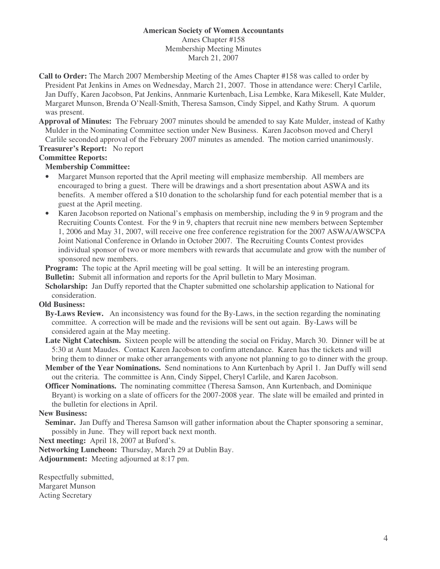## **American Society of Women Accountants**

Ames Chapter #158 Membership Meeting Minutes March 21, 2007

**Call to Order:** The March 2007 Membership Meeting of the Ames Chapter #158 was called to order by President Pat Jenkins in Ames on Wednesday, March 21, 2007. Those in attendance were: Cheryl Carlile, Jan Duffy, Karen Jacobson, Pat Jenkins, Annmarie Kurtenbach, Lisa Lembke, Kara Mikesell, Kate Mulder, Margaret Munson, Brenda O'Neall-Smith, Theresa Samson, Cindy Sippel, and Kathy Strum. A quorum was present.

**Approval of Minutes:** The February 2007 minutes should be amended to say Kate Mulder, instead of Kathy Mulder in the Nominating Committee section under New Business. Karen Jacobson moved and Cheryl Carlile seconded approval of the February 2007 minutes as amended. The motion carried unanimously. **Treasurer's Report:** No report

# **Committee Reports:**

## **Membership Committee:**

- Margaret Munson reported that the April meeting will emphasize membership. All members are encouraged to bring a guest. There will be drawings and a short presentation about ASWA and its benefits. A member offered a \$10 donation to the scholarship fund for each potential member that is a guest at the April meeting.
- Karen Jacobson reported on National's emphasis on membership, including the 9 in 9 program and the Recruiting Counts Contest. For the 9 in 9, chapters that recruit nine new members between September 1, 2006 and May 31, 2007, will receive one free conference registration for the 2007 ASWA/AWSCPA Joint National Conference in Orlando in October 2007. The Recruiting Counts Contest provides individual sponsor of two or more members with rewards that accumulate and grow with the number of sponsored new members.

**Program:** The topic at the April meeting will be goal setting. It will be an interesting program. **Bulletin:** Submit all information and reports for the April bulletin to Mary Mosiman.

**Scholarship:** Jan Duffy reported that the Chapter submitted one scholarship application to National for consideration.

## **Old Business:**

- **By-Laws Review.** An inconsistency was found for the By-Laws, in the section regarding the nominating committee. A correction will be made and the revisions will be sent out again. By-Laws will be considered again at the May meeting.
- **Late Night Catechism.** Sixteen people will be attending the social on Friday, March 30. Dinner will be at 5:30 at Aunt Maudes. Contact Karen Jacobson to confirm attendance. Karen has the tickets and will bring them to dinner or make other arrangements with anyone not planning to go to dinner with the group.
- **Member of the Year Nominations.** Send nominations to Ann Kurtenbach by April 1. Jan Duffy will send out the criteria. The committee is Ann, Cindy Sippel, Cheryl Carlile, and Karen Jacobson.
- **Officer Nominations.** The nominating committee (Theresa Samson, Ann Kurtenbach, and Dominique Bryant) is working on a slate of officers for the 2007-2008 year. The slate will be emailed and printed in the bulletin for elections in April.

## **New Business:**

**Seminar.** Jan Duffy and Theresa Samson will gather information about the Chapter sponsoring a seminar, possibly in June. They will report back next month.

**Next meeting:** April 18, 2007 at Buford's.

**Networking Luncheon:** Thursday, March 29 at Dublin Bay.

**Adjournment:** Meeting adjourned at 8:17 pm.

Respectfully submitted, Margaret Munson Acting Secretary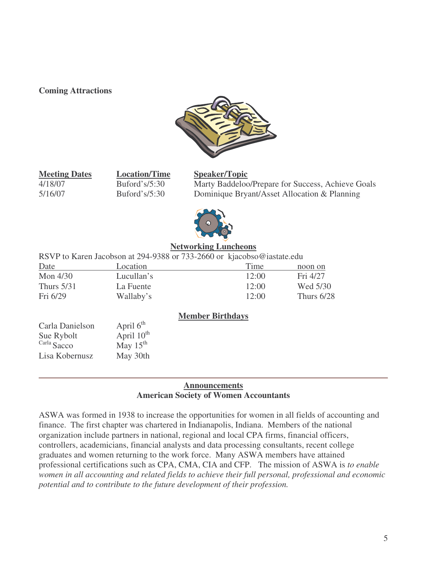## **Coming Attractions**



**Meeting Dates Location/Time Speaker/Topic 4**/18/07 **Dates Buford**'s/5:30 **Marty Baddeloo** 

Marty Baddeloo/Prepare for Success, Achieve Goals 5/16/07 Buford's/5:30 Dominique Bryant/Asset Allocation & Planning



## **Networking Luncheons**

RSVP to Karen Jacobson at 294-9388 or 733-2660 or kjacobso@iastate.edu

| Date         | Location   | Time  | noon on      |
|--------------|------------|-------|--------------|
| Mon $4/30$   | Lucullan's | 12:00 | Fri 4/27     |
| Thurs $5/31$ | La Fuente  | 12:00 | Wed 5/30     |
| Fri $6/29$   | Wallaby's  | 12:00 | Thurs $6/28$ |

## **Member Birthdays**

| Carla Danielson | April $6th$     |
|-----------------|-----------------|
| Sue Rybolt      | April $10^{th}$ |
| Carla Sacco     | May $15th$      |
| Lisa Kobernusz  | May 30th        |

## **Announcements American Society of Women Accountants**

ASWA was formed in 1938 to increase the opportunities for women in all fields of accounting and finance. The first chapter was chartered in Indianapolis, Indiana. Members of the national organization include partners in national, regional and local CPA firms, financial officers, controllers, academicians, financial analysts and data processing consultants, recent college graduates and women returning to the work force. Many ASWA members have attained professional certifications such as CPA, CMA, CIA and CFP. The mission of ASWA is *to enable women in all accounting and related fields to achieve their full personal, professional and economic potential and to contribute to the future development of their profession.*